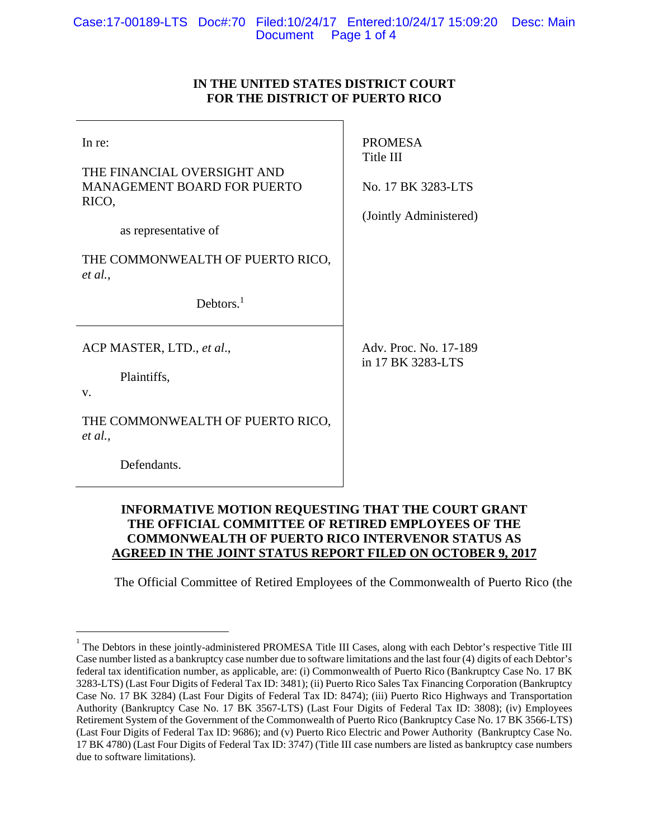# **IN THE UNITED STATES DISTRICT COURT FOR THE DISTRICT OF PUERTO RICO**

| In re:<br>THE FINANCIAL OVERSIGHT AND<br><b>MANAGEMENT BOARD FOR PUERTO</b><br>RICO,<br>as representative of | <b>PROMESA</b><br>Title III<br>No. 17 BK 3283-LTS<br>(Jointly Administered) |
|--------------------------------------------------------------------------------------------------------------|-----------------------------------------------------------------------------|
| THE COMMONWEALTH OF PUERTO RICO,<br>et al.,<br>Debtors. $1$                                                  |                                                                             |
| ACP MASTER, LTD., et al.,<br>Plaintiffs,<br>$V_{\cdot}$<br>THE COMMONWEALTH OF PUERTO RICO,<br>et al.,       | Adv. Proc. No. 17-189<br>in 17 BK 3283-LTS                                  |
| Defendants.                                                                                                  |                                                                             |

# **INFORMATIVE MOTION REQUESTING THAT THE COURT GRANT THE OFFICIAL COMMITTEE OF RETIRED EMPLOYEES OF THE COMMONWEALTH OF PUERTO RICO INTERVENOR STATUS AS AGREED IN THE JOINT STATUS REPORT FILED ON OCTOBER 9, 2017**

The Official Committee of Retired Employees of the Commonwealth of Puerto Rico (the

 $\overline{a}$ 

<sup>1</sup> The Debtors in these jointly-administered PROMESA Title III Cases, along with each Debtor's respective Title III Case number listed as a bankruptcy case number due to software limitations and the last four (4) digits of each Debtor's federal tax identification number, as applicable, are: (i) Commonwealth of Puerto Rico (Bankruptcy Case No. 17 BK 3283-LTS) (Last Four Digits of Federal Tax ID: 3481); (ii) Puerto Rico Sales Tax Financing Corporation (Bankruptcy Case No. 17 BK 3284) (Last Four Digits of Federal Tax ID: 8474); (iii) Puerto Rico Highways and Transportation Authority (Bankruptcy Case No. 17 BK 3567-LTS) (Last Four Digits of Federal Tax ID: 3808); (iv) Employees Retirement System of the Government of the Commonwealth of Puerto Rico (Bankruptcy Case No. 17 BK 3566-LTS) (Last Four Digits of Federal Tax ID: 9686); and (v) Puerto Rico Electric and Power Authority (Bankruptcy Case No. 17 BK 4780) (Last Four Digits of Federal Tax ID: 3747) (Title III case numbers are listed as bankruptcy case numbers due to software limitations).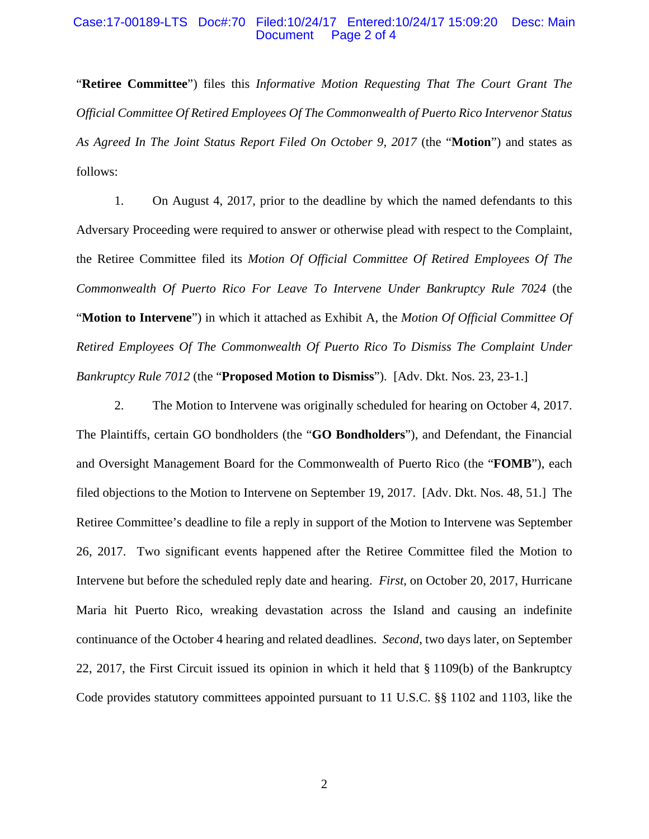### Case:17-00189-LTS Doc#:70 Filed:10/24/17 Entered:10/24/17 15:09:20 Desc: Main Page 2 of 4

"**Retiree Committee**") files this *Informative Motion Requesting That The Court Grant The Official Committee Of Retired Employees Of The Commonwealth of Puerto Rico Intervenor Status As Agreed In The Joint Status Report Filed On October 9, 2017* (the "**Motion**") and states as follows:

1. On August 4, 2017, prior to the deadline by which the named defendants to this Adversary Proceeding were required to answer or otherwise plead with respect to the Complaint, the Retiree Committee filed its *Motion Of Official Committee Of Retired Employees Of The Commonwealth Of Puerto Rico For Leave To Intervene Under Bankruptcy Rule 7024* (the "**Motion to Intervene**") in which it attached as Exhibit A, the *Motion Of Official Committee Of Retired Employees Of The Commonwealth Of Puerto Rico To Dismiss The Complaint Under Bankruptcy Rule 7012* (the "**Proposed Motion to Dismiss**"). [Adv. Dkt. Nos. 23, 23-1.]

2. The Motion to Intervene was originally scheduled for hearing on October 4, 2017. The Plaintiffs, certain GO bondholders (the "**GO Bondholders**"), and Defendant, the Financial and Oversight Management Board for the Commonwealth of Puerto Rico (the "**FOMB**"), each filed objections to the Motion to Intervene on September 19, 2017. [Adv. Dkt. Nos. 48, 51.] The Retiree Committee's deadline to file a reply in support of the Motion to Intervene was September 26, 2017. Two significant events happened after the Retiree Committee filed the Motion to Intervene but before the scheduled reply date and hearing. *First*, on October 20, 2017, Hurricane Maria hit Puerto Rico, wreaking devastation across the Island and causing an indefinite continuance of the October 4 hearing and related deadlines. *Second*, two days later, on September 22, 2017, the First Circuit issued its opinion in which it held that § 1109(b) of the Bankruptcy Code provides statutory committees appointed pursuant to 11 U.S.C. §§ 1102 and 1103, like the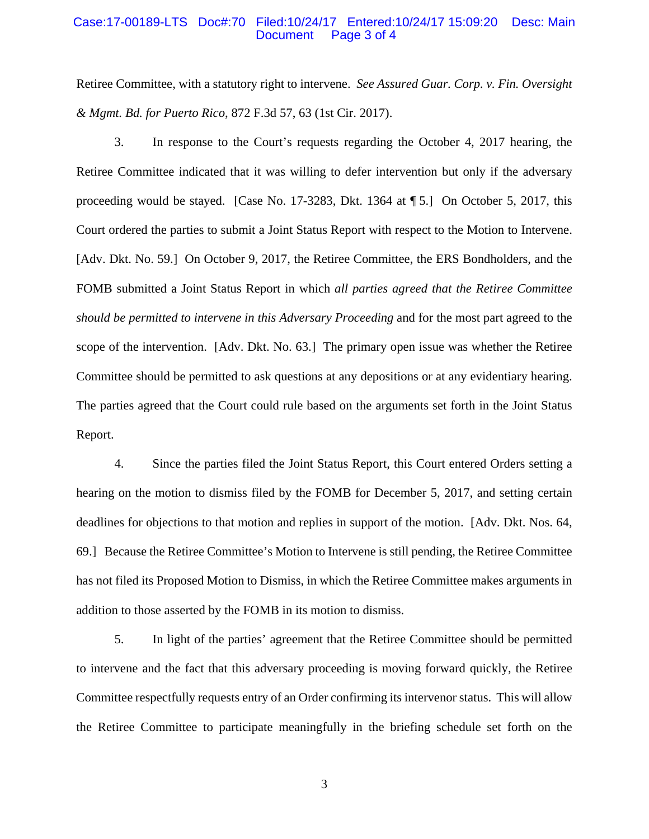### Case:17-00189-LTS Doc#:70 Filed:10/24/17 Entered:10/24/17 15:09:20 Desc: Main Page 3 of 4

Retiree Committee, with a statutory right to intervene. *See Assured Guar. Corp. v. Fin. Oversight & Mgmt. Bd. for Puerto Rico*, 872 F.3d 57, 63 (1st Cir. 2017).

3. In response to the Court's requests regarding the October 4, 2017 hearing, the Retiree Committee indicated that it was willing to defer intervention but only if the adversary proceeding would be stayed. [Case No. 17-3283, Dkt. 1364 at ¶ 5.] On October 5, 2017, this Court ordered the parties to submit a Joint Status Report with respect to the Motion to Intervene. [Adv. Dkt. No. 59.] On October 9, 2017, the Retiree Committee, the ERS Bondholders, and the FOMB submitted a Joint Status Report in which *all parties agreed that the Retiree Committee should be permitted to intervene in this Adversary Proceeding* and for the most part agreed to the scope of the intervention. [Adv. Dkt. No. 63.] The primary open issue was whether the Retiree Committee should be permitted to ask questions at any depositions or at any evidentiary hearing. The parties agreed that the Court could rule based on the arguments set forth in the Joint Status Report.

4. Since the parties filed the Joint Status Report, this Court entered Orders setting a hearing on the motion to dismiss filed by the FOMB for December 5, 2017, and setting certain deadlines for objections to that motion and replies in support of the motion. [Adv. Dkt. Nos. 64, 69.] Because the Retiree Committee's Motion to Intervene is still pending, the Retiree Committee has not filed its Proposed Motion to Dismiss, in which the Retiree Committee makes arguments in addition to those asserted by the FOMB in its motion to dismiss.

5. In light of the parties' agreement that the Retiree Committee should be permitted to intervene and the fact that this adversary proceeding is moving forward quickly, the Retiree Committee respectfully requests entry of an Order confirming its intervenor status. This will allow the Retiree Committee to participate meaningfully in the briefing schedule set forth on the

3